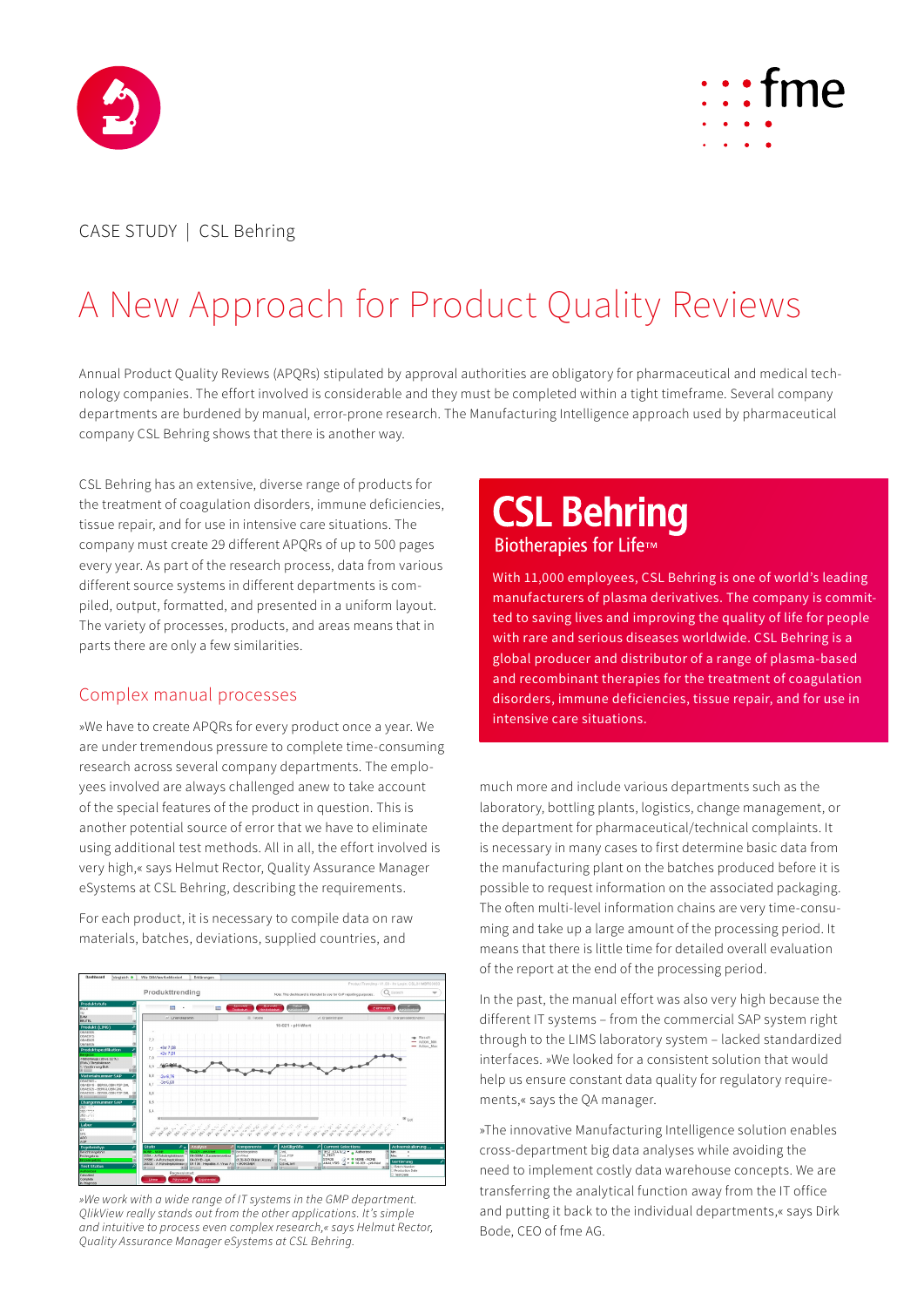



## CASE STUDY | CSL Behring

# A New Approach for Product Quality Reviews

Annual Product Quality Reviews (APQRs) stipulated by approval authorities are obligatory for pharmaceutical and medical technology companies. The effort involved is considerable and they must be completed within a tight timeframe. Several company departments are burdened by manual, error-prone research. The Manufacturing Intelligence approach used by pharmaceutical company CSL Behring shows that there is another way.

CSL Behring has an extensive, diverse range of products for the treatment of coagulation disorders, immune deficiencies, tissue repair, and for use in intensive care situations. The company must create 29 different APQRs of up to 500 pages every year. As part of the research process, data from various different source systems in different departments is compiled, output, formatted, and presented in a uniform layout. The variety of processes, products, and areas means that in parts there are only a few similarities.

### Complex manual processes

»We have to create APQRs for every product once a year. We are under tremendous pressure to complete time-consuming research across several company departments. The employees involved are always challenged anew to take account of the special features of the product in question. This is another potential source of error that we have to eliminate using additional test methods. All in all, the effort involved is very high,« says Helmut Rector, Quality Assurance Manager eSystems at CSL Behring, describing the requirements.

For each product, it is necessary to compile data on raw materials, batches, deviations, supplied countries, and



*»We work with a wide range of IT systems in the GMP department. QlikView really stands out from the other applications. It's simple and intuitive to process even complex research,« says Helmut Rector, Quality Assurance Manager eSystems at CSL Behring.* 

# **CSL Behring** Biotherapies for Life™

With 11,000 employees, CSL Behring is one of world's leading manufacturers of plasma derivatives. The company is committed to saving lives and improving the quality of life for people with rare and serious diseases worldwide. CSL Behring is a global producer and distributor of a range of plasma-based and recombinant therapies for the treatment of coagulation disorders, immune deficiencies, tissue repair, and for use in intensive care situations.

much more and include various departments such as the laboratory, bottling plants, logistics, change management, or the department for pharmaceutical/technical complaints. It is necessary in many cases to first determine basic data from the manufacturing plant on the batches produced before it is possible to request information on the associated packaging. The often multi-level information chains are very time-consuming and take up a large amount of the processing period. It means that there is little time for detailed overall evaluation of the report at the end of the processing period.

In the past, the manual effort was also very high because the different IT systems – from the commercial SAP system right through to the LIMS laboratory system – lacked standardized interfaces. »We looked for a consistent solution that would help us ensure constant data quality for regulatory requirements,« says the QA manager.

»The innovative Manufacturing Intelligence solution enables cross-department big data analyses while avoiding the need to implement costly data warehouse concepts. We are transferring the analytical function away from the IT office and putting it back to the individual departments,« says Dirk Bode, CEO of fme AG.